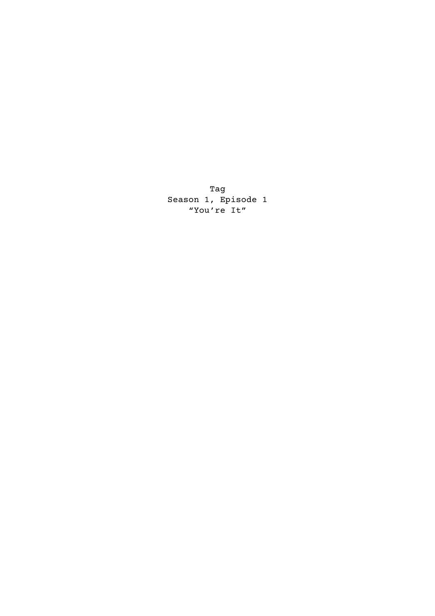Tag Season 1, Episode 1 "You're It"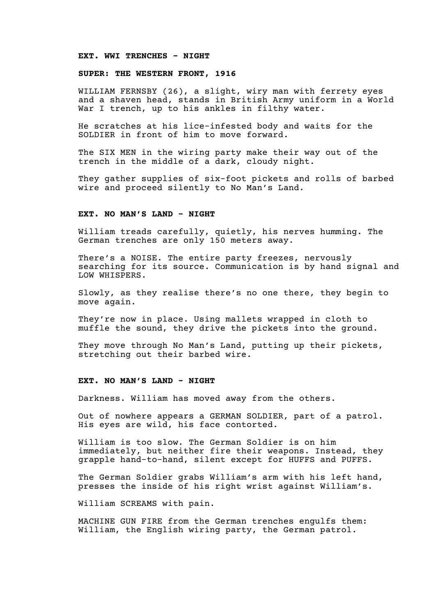### **EXT. WWI TRENCHES - NIGHT**

# **SUPER: THE WESTERN FRONT, 1916**

WILLIAM FERNSBY (26), a slight, wiry man with ferrety eyes and a shaven head, stands in British Army uniform in a World War I trench, up to his ankles in filthy water.

He scratches at his lice-infested body and waits for the SOLDIER in front of him to move forward.

The SIX MEN in the wiring party make their way out of the trench in the middle of a dark, cloudy night.

They gather supplies of six-foot pickets and rolls of barbed wire and proceed silently to No Man's Land.

# **EXT. NO MAN'S LAND - NIGHT**

William treads carefully, quietly, his nerves humming. The German trenches are only 150 meters away.

There's a NOISE. The entire party freezes, nervously searching for its source. Communication is by hand signal and LOW WHISPERS.

Slowly, as they realise there's no one there, they begin to move again.

They're now in place. Using mallets wrapped in cloth to muffle the sound, they drive the pickets into the ground.

They move through No Man's Land, putting up their pickets, stretching out their barbed wire.

### **EXT. NO MAN'S LAND - NIGHT**

Darkness. William has moved away from the others.

Out of nowhere appears a GERMAN SOLDIER, part of a patrol. His eyes are wild, his face contorted.

William is too slow. The German Soldier is on him immediately, but neither fire their weapons. Instead, they grapple hand-to-hand, silent except for HUFFS and PUFFS.

The German Soldier grabs William's arm with his left hand, presses the inside of his right wrist against William's.

William SCREAMS with pain.

MACHINE GUN FIRE from the German trenches engulfs them: William, the English wiring party, the German patrol.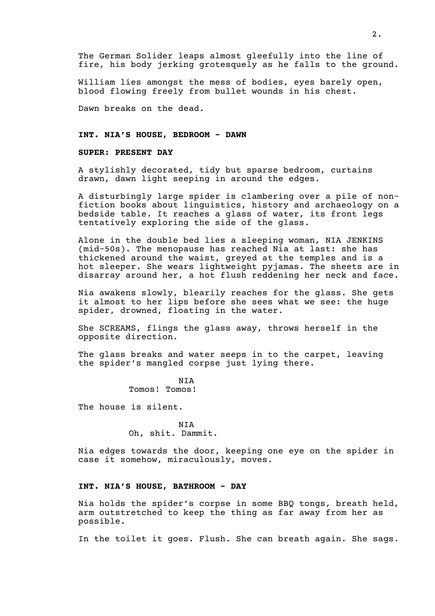The German Solider leaps almost gleefully into the line of fire, his body jerking grotesquely as he falls to the ground.

William lies amongst the mess of bodies, eyes barely open, blood flowing freely from bullet wounds in his chest.

Dawn breaks on the dead.

# **INT. NIA'S HOUSE, BEDROOM - DAWN**

#### **SUPER: PRESENT DAY**

A stylishly decorated, tidy but sparse bedroom, curtains drawn, dawn light seeping in around the edges.

A disturbingly large spider is clambering over a pile of nonfiction books about linguistics, history and archaeology on a bedside table. It reaches a glass of water, its front legs tentatively exploring the side of the glass.

Alone in the double bed lies a sleeping woman, NIA JENKINS (mid-50s). The menopause has reached Nia at last: she has thickened around the waist, greyed at the temples and is a hot sleeper. She wears lightweight pyjamas. The sheets are in disarray around her, a hot flush reddening her neck and face.

Nia awakens slowly, blearily reaches for the glass. She gets it almost to her lips before she sees what we see: the huge spider, drowned, floating in the water.

She SCREAMS, flings the glass away, throws herself in the opposite direction.

The glass breaks and water seeps in to the carpet, leaving the spider's mangled corpse just lying there.

> **NTA** Tomos! Tomos!

The house is silent.

NIA Oh, shit. Dammit.

Nia edges towards the door, keeping one eye on the spider in case it somehow, miraculously, moves.

### **INT. NIA'S HOUSE, BATHROOM - DAY**

Nia holds the spider's corpse in some BBQ tongs, breath held, arm outstretched to keep the thing as far away from her as possible.

In the toilet it goes. Flush. She can breath again. She sags.